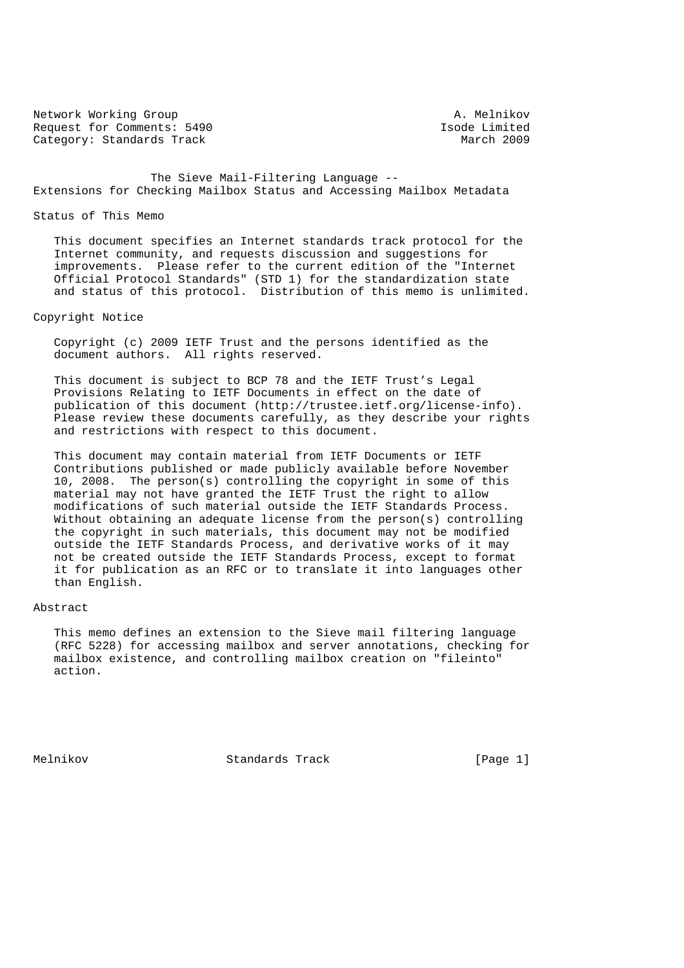Network Working Group<br>Request for Comments: 5490 <br>Request for Comments: 5490 <br>A. Melnikov Request for Comments: 5490 Isode Limited<br>
Category: Standards Track Category: Standards Track Category: Standards Track

 The Sieve Mail-Filtering Language -- Extensions for Checking Mailbox Status and Accessing Mailbox Metadata

#### Status of This Memo

 This document specifies an Internet standards track protocol for the Internet community, and requests discussion and suggestions for improvements. Please refer to the current edition of the "Internet Official Protocol Standards" (STD 1) for the standardization state and status of this protocol. Distribution of this memo is unlimited.

## Copyright Notice

 Copyright (c) 2009 IETF Trust and the persons identified as the document authors. All rights reserved.

 This document is subject to BCP 78 and the IETF Trust's Legal Provisions Relating to IETF Documents in effect on the date of publication of this document (http://trustee.ietf.org/license-info). Please review these documents carefully, as they describe your rights and restrictions with respect to this document.

 This document may contain material from IETF Documents or IETF Contributions published or made publicly available before November 10, 2008. The person(s) controlling the copyright in some of this material may not have granted the IETF Trust the right to allow modifications of such material outside the IETF Standards Process. Without obtaining an adequate license from the person(s) controlling the copyright in such materials, this document may not be modified outside the IETF Standards Process, and derivative works of it may not be created outside the IETF Standards Process, except to format it for publication as an RFC or to translate it into languages other than English.

# Abstract

 This memo defines an extension to the Sieve mail filtering language (RFC 5228) for accessing mailbox and server annotations, checking for mailbox existence, and controlling mailbox creation on "fileinto" action.

Melnikov Standards Track [Page 1]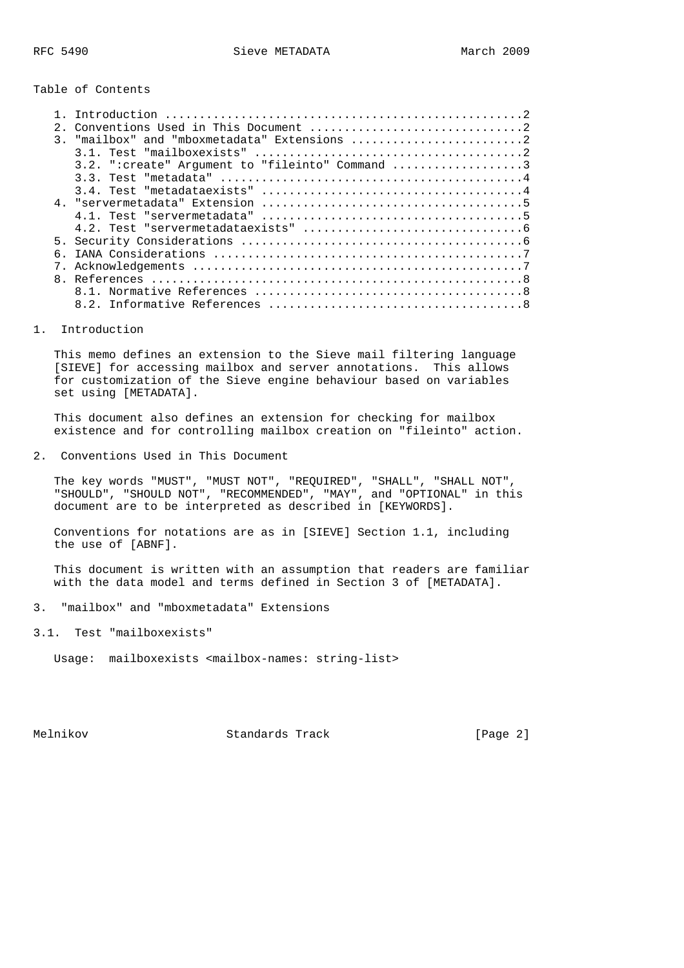Table of Contents

|              | $3.2.$ ":create" Argument to "fileinto" Command 3 |
|--------------|---------------------------------------------------|
|              |                                                   |
|              |                                                   |
|              |                                                   |
|              |                                                   |
|              |                                                   |
|              |                                                   |
|              |                                                   |
|              |                                                   |
| $\mathsf{R}$ |                                                   |
|              |                                                   |
|              |                                                   |

#### 1. Introduction

 This memo defines an extension to the Sieve mail filtering language [SIEVE] for accessing mailbox and server annotations. This allows for customization of the Sieve engine behaviour based on variables set using [METADATA].

 This document also defines an extension for checking for mailbox existence and for controlling mailbox creation on "fileinto" action.

2. Conventions Used in This Document

 The key words "MUST", "MUST NOT", "REQUIRED", "SHALL", "SHALL NOT", "SHOULD", "SHOULD NOT", "RECOMMENDED", "MAY", and "OPTIONAL" in this document are to be interpreted as described in [KEYWORDS].

 Conventions for notations are as in [SIEVE] Section 1.1, including the use of [ABNF].

 This document is written with an assumption that readers are familiar with the data model and terms defined in Section 3 of [METADATA].

- 3. "mailbox" and "mboxmetadata" Extensions
- 3.1. Test "mailboxexists"

Usage: mailboxexists <mailbox-names: string-list>

Melnikov Standards Track [Page 2]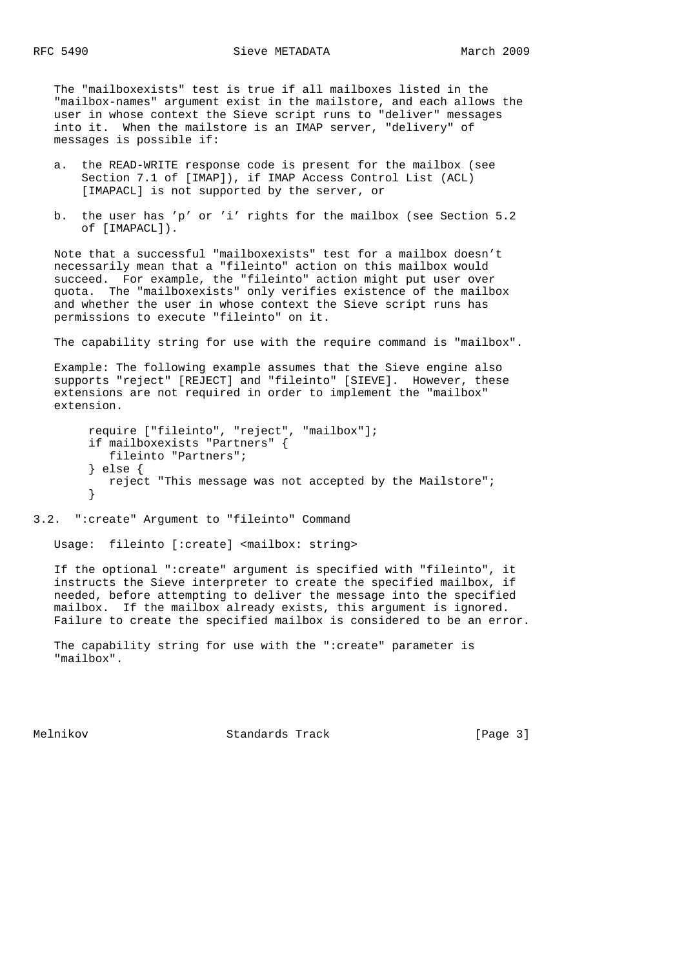The "mailboxexists" test is true if all mailboxes listed in the "mailbox-names" argument exist in the mailstore, and each allows the user in whose context the Sieve script runs to "deliver" messages into it. When the mailstore is an IMAP server, "delivery" of messages is possible if:

- a. the READ-WRITE response code is present for the mailbox (see Section 7.1 of [IMAP]), if IMAP Access Control List (ACL) [IMAPACL] is not supported by the server, or
- b. the user has 'p' or 'i' rights for the mailbox (see Section 5.2 of [IMAPACL]).

 Note that a successful "mailboxexists" test for a mailbox doesn't necessarily mean that a "fileinto" action on this mailbox would succeed. For example, the "fileinto" action might put user over quota. The "mailboxexists" only verifies existence of the mailbox and whether the user in whose context the Sieve script runs has permissions to execute "fileinto" on it.

The capability string for use with the require command is "mailbox".

 Example: The following example assumes that the Sieve engine also supports "reject" [REJECT] and "fileinto" [SIEVE]. However, these extensions are not required in order to implement the "mailbox" extension.

```
 require ["fileinto", "reject", "mailbox"];
 if mailboxexists "Partners" {
    fileinto "Partners";
 } else {
    reject "This message was not accepted by the Mailstore";
 }
```
## 3.2. ":create" Argument to "fileinto" Command

Usage: fileinto [:create] <mailbox: string>

 If the optional ":create" argument is specified with "fileinto", it instructs the Sieve interpreter to create the specified mailbox, if needed, before attempting to deliver the message into the specified mailbox. If the mailbox already exists, this argument is ignored. Failure to create the specified mailbox is considered to be an error.

 The capability string for use with the ":create" parameter is "mailbox".

Melnikov Standards Track [Page 3]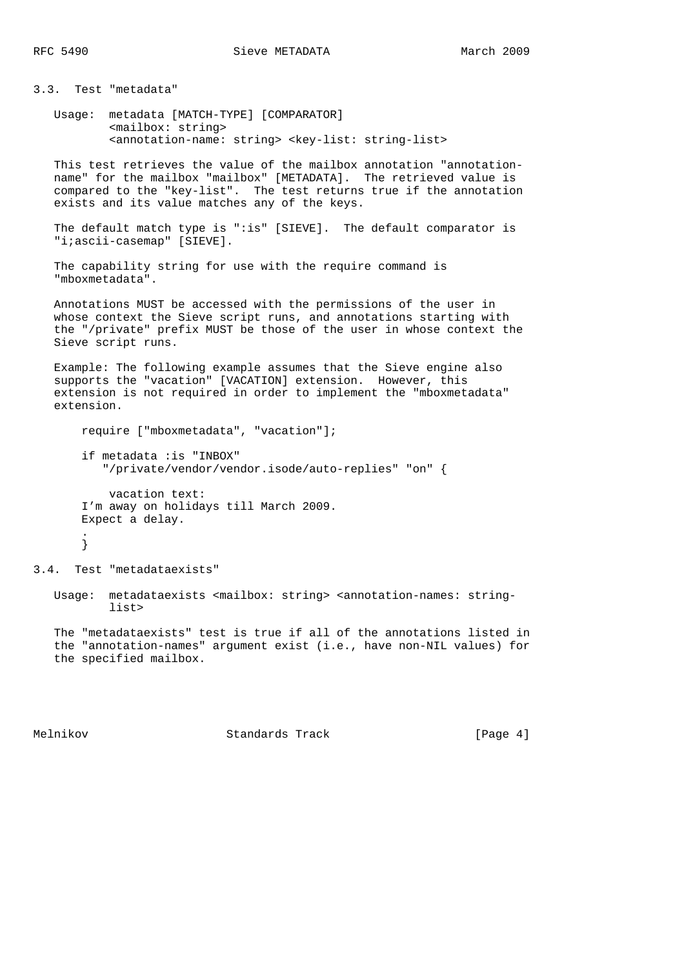3.3. Test "metadata"

 Usage: metadata [MATCH-TYPE] [COMPARATOR] <mailbox: string> <annotation-name: string> <key-list: string-list>

 This test retrieves the value of the mailbox annotation "annotation name" for the mailbox "mailbox" [METADATA]. The retrieved value is compared to the "key-list". The test returns true if the annotation exists and its value matches any of the keys.

 The default match type is ":is" [SIEVE]. The default comparator is "i;ascii-casemap" [SIEVE].

```
 The capability string for use with the require command is
 "mboxmetadata".
```
 Annotations MUST be accessed with the permissions of the user in whose context the Sieve script runs, and annotations starting with the "/private" prefix MUST be those of the user in whose context the Sieve script runs.

 Example: The following example assumes that the Sieve engine also supports the "vacation" [VACATION] extension. However, this extension is not required in order to implement the "mboxmetadata" extension.

```
 require ["mboxmetadata", "vacation"];
       if metadata :is "INBOX"
           "/private/vendor/vendor.isode/auto-replies" "on" {
           vacation text:
        I'm away on holidays till March 2009.
       Expect a delay.
 .
        }
```
3.4. Test "metadataexists"

 Usage: metadataexists <mailbox: string> <annotation-names: string list>

 The "metadataexists" test is true if all of the annotations listed in the "annotation-names" argument exist (i.e., have non-NIL values) for the specified mailbox.

Melnikov Standards Track [Page 4]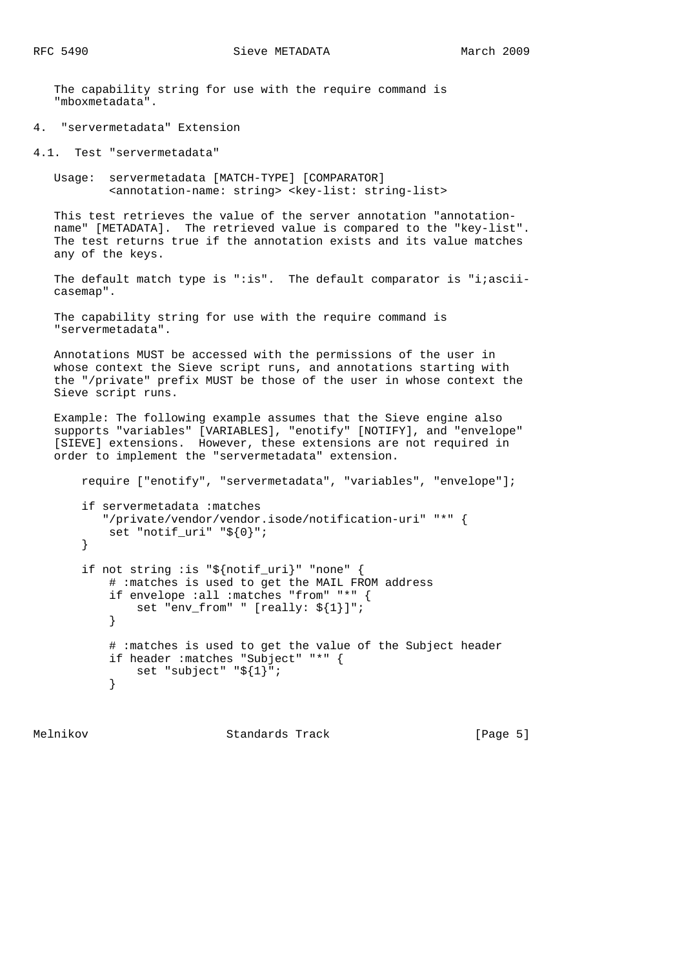The capability string for use with the require command is "mboxmetadata".

4. "servermetadata" Extension

4.1. Test "servermetadata"

 Usage: servermetadata [MATCH-TYPE] [COMPARATOR] <annotation-name: string> <key-list: string-list>

 This test retrieves the value of the server annotation "annotation name" [METADATA]. The retrieved value is compared to the "key-list". The test returns true if the annotation exists and its value matches any of the keys.

The default match type is ":is". The default comparator is "i;asciicasemap".

 The capability string for use with the require command is "servermetadata".

 Annotations MUST be accessed with the permissions of the user in whose context the Sieve script runs, and annotations starting with the "/private" prefix MUST be those of the user in whose context the Sieve script runs.

 Example: The following example assumes that the Sieve engine also supports "variables" [VARIABLES], "enotify" [NOTIFY], and "envelope" [SIEVE] extensions. However, these extensions are not required in order to implement the "servermetadata" extension.

 require ["enotify", "servermetadata", "variables", "envelope"]; if servermetadata :matches "/private/vendor/vendor.isode/notification-uri" "\*" { set "notif\_uri" "\${0}"; } if not string :is "\${notif\_uri}" "none" { # :matches is used to get the MAIL FROM address if envelope :all :matches "from" "\*" { set "env\_from" " [really: \${1}]"; } # :matches is used to get the value of the Subject header if header :matches "Subject" "\*" { set "subject" "\${1}"; }

Melnikov Standards Track [Page 5]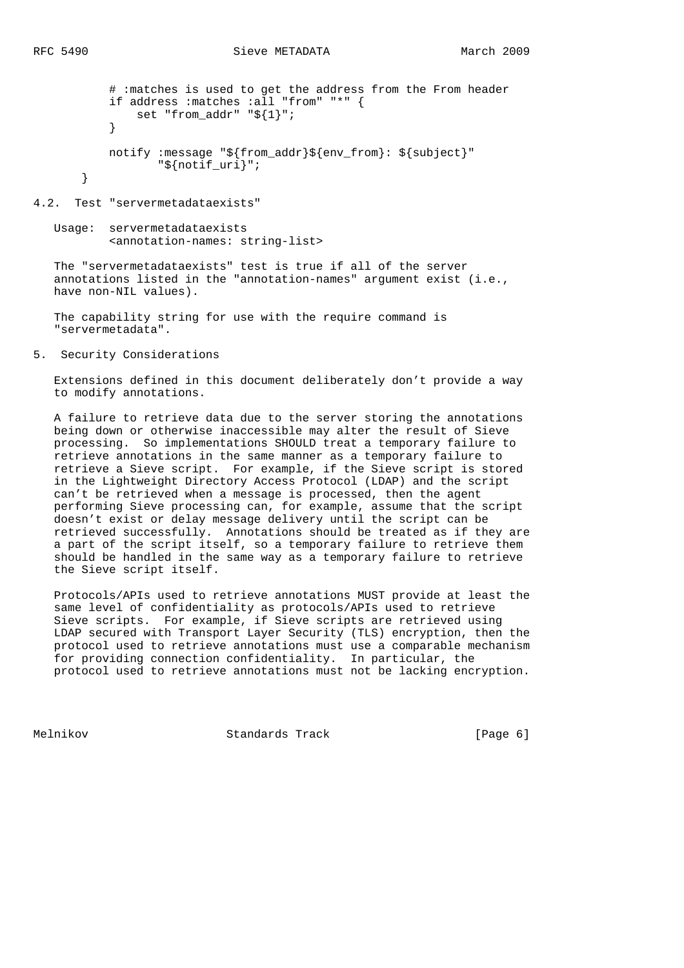```
 # :matches is used to get the address from the From header
           if address :matches :all "from" "*" {
              set "from addr" "${1}";
 }
          notify : message "${from addr}${env from}: ${subject}"
                  "${notif_uri}";
       }
```
4.2. Test "servermetadataexists"

 Usage: servermetadataexists <annotation-names: string-list>

 The "servermetadataexists" test is true if all of the server annotations listed in the "annotation-names" argument exist (i.e., have non-NIL values).

 The capability string for use with the require command is "servermetadata".

5. Security Considerations

 Extensions defined in this document deliberately don't provide a way to modify annotations.

 A failure to retrieve data due to the server storing the annotations being down or otherwise inaccessible may alter the result of Sieve processing. So implementations SHOULD treat a temporary failure to retrieve annotations in the same manner as a temporary failure to retrieve a Sieve script. For example, if the Sieve script is stored in the Lightweight Directory Access Protocol (LDAP) and the script can't be retrieved when a message is processed, then the agent performing Sieve processing can, for example, assume that the script doesn't exist or delay message delivery until the script can be retrieved successfully. Annotations should be treated as if they are a part of the script itself, so a temporary failure to retrieve them should be handled in the same way as a temporary failure to retrieve the Sieve script itself.

 Protocols/APIs used to retrieve annotations MUST provide at least the same level of confidentiality as protocols/APIs used to retrieve Sieve scripts. For example, if Sieve scripts are retrieved using LDAP secured with Transport Layer Security (TLS) encryption, then the protocol used to retrieve annotations must use a comparable mechanism for providing connection confidentiality. In particular, the protocol used to retrieve annotations must not be lacking encryption.

Melnikov Standards Track [Page 6]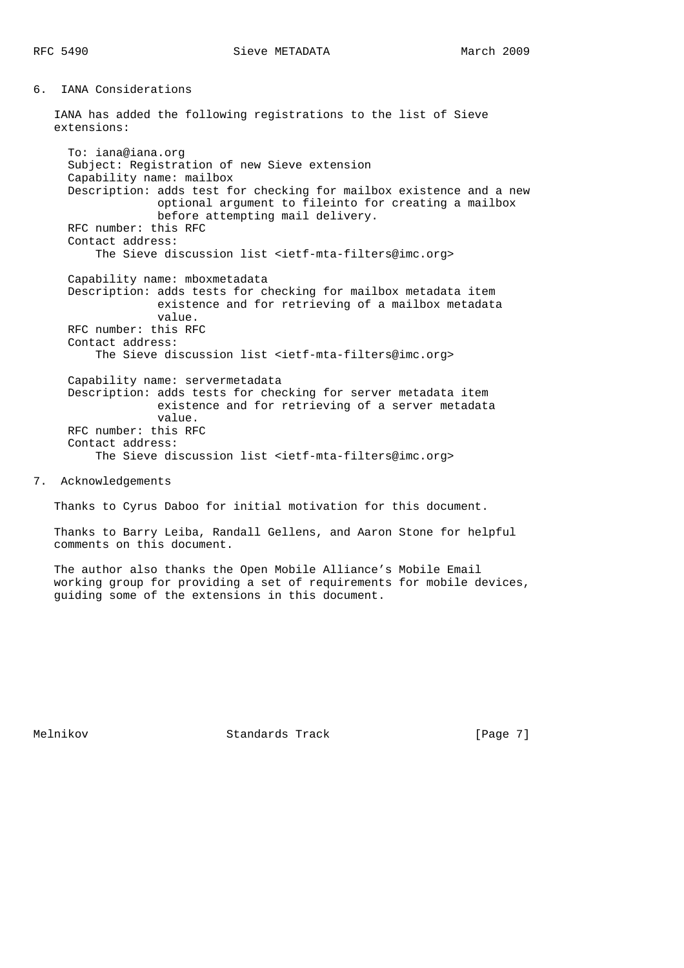6. IANA Considerations

 IANA has added the following registrations to the list of Sieve extensions:

 To: iana@iana.org Subject: Registration of new Sieve extension Capability name: mailbox Description: adds test for checking for mailbox existence and a new optional argument to fileinto for creating a mailbox before attempting mail delivery. RFC number: this RFC Contact address: The Sieve discussion list <ietf-mta-filters@imc.org> Capability name: mboxmetadata Description: adds tests for checking for mailbox metadata item existence and for retrieving of a mailbox metadata value. RFC number: this RFC Contact address: The Sieve discussion list <ietf-mta-filters@imc.org> Capability name: servermetadata Description: adds tests for checking for server metadata item existence and for retrieving of a server metadata value. RFC number: this RFC Contact address: The Sieve discussion list <ietf-mta-filters@imc.org>

7. Acknowledgements

Thanks to Cyrus Daboo for initial motivation for this document.

 Thanks to Barry Leiba, Randall Gellens, and Aaron Stone for helpful comments on this document.

 The author also thanks the Open Mobile Alliance's Mobile Email working group for providing a set of requirements for mobile devices, guiding some of the extensions in this document.

Melnikov Standards Track [Page 7]